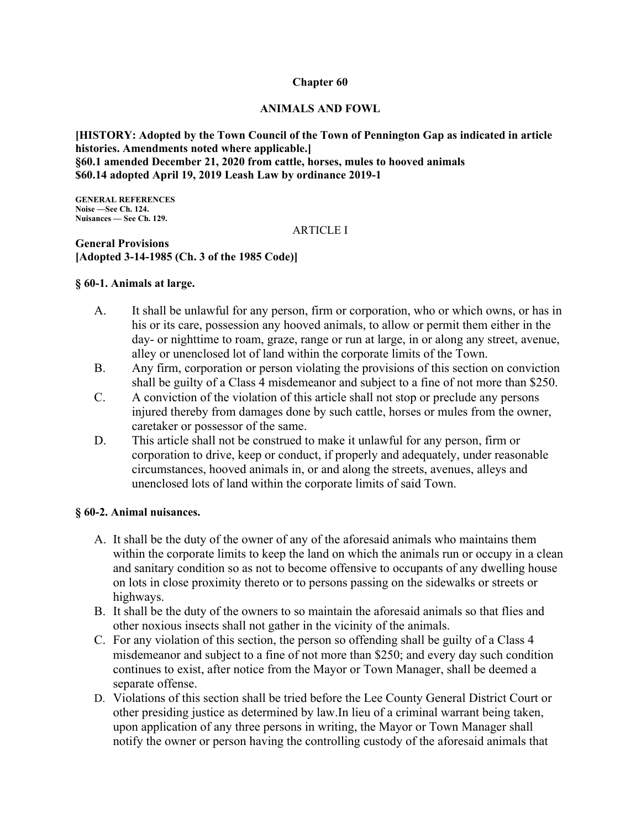#### **Chapter 60**

#### **ANIMALS AND FOWL**

**[HISTORY: Adopted by the Town Council of the Town of Pennington Gap as indicated in article histories. Amendments noted where applicable.] §60.1 amended December 21, 2020 from cattle, horses, mules to hooved animals \$60.14 adopted April 19, 2019 Leash Law by ordinance 2019-1** 

**GENERAL REFERENCES Noise —See Ch. 124. Nuisances — See Ch. 129.** 

#### ARTICLE I

**General Provisions [Adopted 3-14-1985 (Ch. 3 of the 1985 Code)]** 

## **§ 60-1. Animals at large.**

- A. It shall be unlawful for any person, firm or corporation, who or which owns, or has in his or its care, possession any hooved animals, to allow or permit them either in the day- or nighttime to roam, graze, range or run at large, in or along any street, avenue, alley or unenclosed lot of land within the corporate limits of the Town.
- B. Any firm, corporation or person violating the provisions of this section on conviction shall be guilty of a Class 4 misdemeanor and subject to a fine of not more than \$250.
- C. A conviction of the violation of this article shall not stop or preclude any persons injured thereby from damages done by such cattle, horses or mules from the owner, caretaker or possessor of the same.
- D. This article shall not be construed to make it unlawful for any person, firm or corporation to drive, keep or conduct, if properly and adequately, under reasonable circumstances, hooved animals in, or and along the streets, avenues, alleys and unenclosed lots of land within the corporate limits of said Town.

#### **§ 60-2. Animal nuisances.**

- A. It shall be the duty of the owner of any of the aforesaid animals who maintains them within the corporate limits to keep the land on which the animals run or occupy in a clean and sanitary condition so as not to become offensive to occupants of any dwelling house on lots in close proximity thereto or to persons passing on the sidewalks or streets or highways.
- B. It shall be the duty of the owners to so maintain the aforesaid animals so that flies and other noxious insects shall not gather in the vicinity of the animals.
- C. For any violation of this section, the person so offending shall be guilty of a Class 4 misdemeanor and subject to a fine of not more than \$250; and every day such condition continues to exist, after notice from the Mayor or Town Manager, shall be deemed a separate offense.
- D. Violations of this section shall be tried before the Lee County General District Court or other presiding justice as determined by law.In lieu of a criminal warrant being taken, upon application of any three persons in writing, the Mayor or Town Manager shall notify the owner or person having the controlling custody of the aforesaid animals that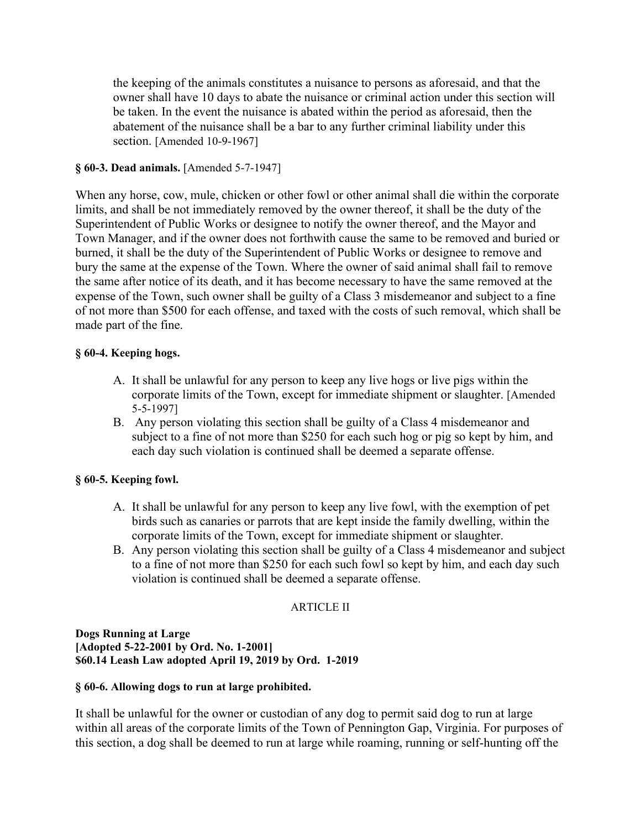the keeping of the animals constitutes a nuisance to persons as aforesaid, and that the owner shall have 10 days to abate the nuisance or criminal action under this section will be taken. In the event the nuisance is abated within the period as aforesaid, then the abatement of the nuisance shall be a bar to any further criminal liability under this section. [Amended 10-9-1967]

## **§ 60-3. Dead animals.** [Amended 5-7-1947]

When any horse, cow, mule, chicken or other fowl or other animal shall die within the corporate limits, and shall be not immediately removed by the owner thereof, it shall be the duty of the Superintendent of Public Works or designee to notify the owner thereof, and the Mayor and Town Manager, and if the owner does not forthwith cause the same to be removed and buried or burned, it shall be the duty of the Superintendent of Public Works or designee to remove and bury the same at the expense of the Town. Where the owner of said animal shall fail to remove the same after notice of its death, and it has become necessary to have the same removed at the expense of the Town, such owner shall be guilty of a Class 3 misdemeanor and subject to a fine of not more than \$500 for each offense, and taxed with the costs of such removal, which shall be made part of the fine.

## **§ 60-4. Keeping hogs.**

- A. It shall be unlawful for any person to keep any live hogs or live pigs within the corporate limits of the Town, except for immediate shipment or slaughter. [Amended 5-5-1997]
- B. Any person violating this section shall be guilty of a Class 4 misdemeanor and subject to a fine of not more than \$250 for each such hog or pig so kept by him, and each day such violation is continued shall be deemed a separate offense.

# **§ 60-5. Keeping fowl.**

- A. It shall be unlawful for any person to keep any live fowl, with the exemption of pet birds such as canaries or parrots that are kept inside the family dwelling, within the corporate limits of the Town, except for immediate shipment or slaughter.
- B. Any person violating this section shall be guilty of a Class 4 misdemeanor and subject to a fine of not more than \$250 for each such fowl so kept by him, and each day such violation is continued shall be deemed a separate offense.

## ARTICLE II

**Dogs Running at Large [Adopted 5-22-2001 by Ord. No. 1-2001] \$60.14 Leash Law adopted April 19, 2019 by Ord. 1-2019** 

## **§ 60-6. Allowing dogs to run at large prohibited.**

It shall be unlawful for the owner or custodian of any dog to permit said dog to run at large within all areas of the corporate limits of the Town of Pennington Gap, Virginia. For purposes of this section, a dog shall be deemed to run at large while roaming, running or self-hunting off the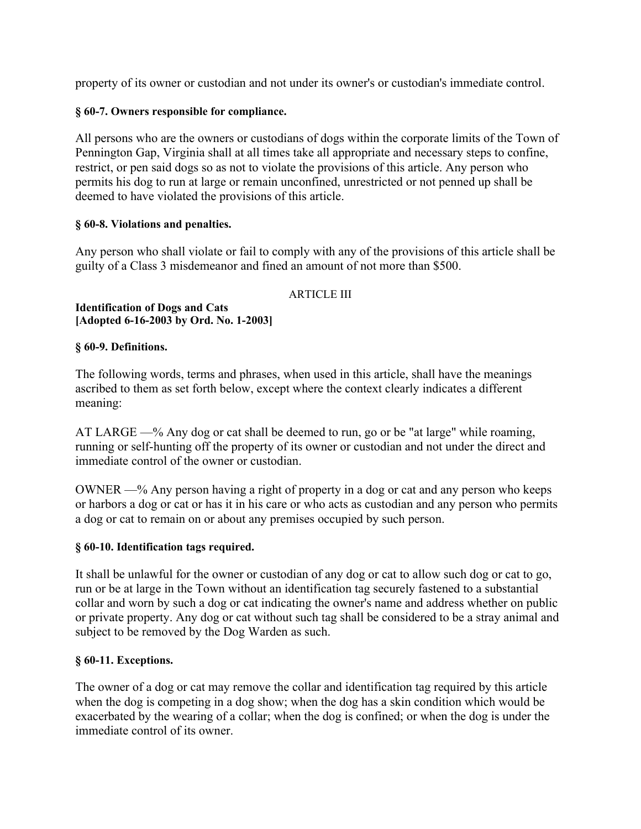property of its owner or custodian and not under its owner's or custodian's immediate control.

## **§ 60-7. Owners responsible for compliance.**

All persons who are the owners or custodians of dogs within the corporate limits of the Town of Pennington Gap, Virginia shall at all times take all appropriate and necessary steps to confine, restrict, or pen said dogs so as not to violate the provisions of this article. Any person who permits his dog to run at large or remain unconfined, unrestricted or not penned up shall be deemed to have violated the provisions of this article.

### **§ 60-8. Violations and penalties.**

Any person who shall violate or fail to comply with any of the provisions of this article shall be guilty of a Class 3 misdemeanor and fined an amount of not more than \$500.

### ARTICLE III

#### **Identification of Dogs and Cats [Adopted 6-16-2003 by Ord. No. 1-2003]**

### **§ 60-9. Definitions.**

The following words, terms and phrases, when used in this article, shall have the meanings ascribed to them as set forth below, except where the context clearly indicates a different meaning:

AT LARGE —% Any dog or cat shall be deemed to run, go or be "at large" while roaming, running or self-hunting off the property of its owner or custodian and not under the direct and immediate control of the owner or custodian.

OWNER —% Any person having a right of property in a dog or cat and any person who keeps or harbors a dog or cat or has it in his care or who acts as custodian and any person who permits a dog or cat to remain on or about any premises occupied by such person.

#### **§ 60-10. Identification tags required.**

It shall be unlawful for the owner or custodian of any dog or cat to allow such dog or cat to go, run or be at large in the Town without an identification tag securely fastened to a substantial collar and worn by such a dog or cat indicating the owner's name and address whether on public or private property. Any dog or cat without such tag shall be considered to be a stray animal and subject to be removed by the Dog Warden as such.

#### **§ 60-11. Exceptions.**

The owner of a dog or cat may remove the collar and identification tag required by this article when the dog is competing in a dog show; when the dog has a skin condition which would be exacerbated by the wearing of a collar; when the dog is confined; or when the dog is under the immediate control of its owner.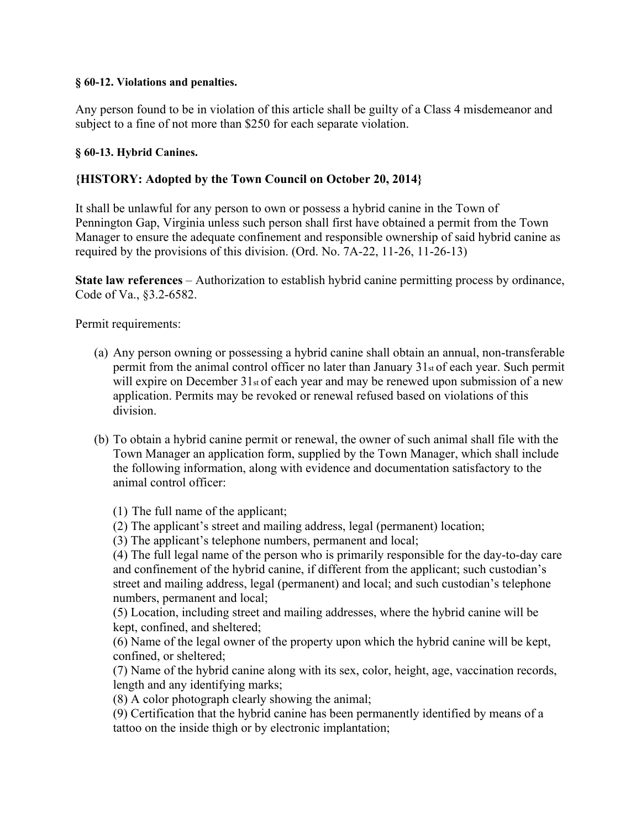### **§ 60-12. Violations and penalties.**

Any person found to be in violation of this article shall be guilty of a Class 4 misdemeanor and subject to a fine of not more than \$250 for each separate violation.

## **§ 60-13. Hybrid Canines.**

# **{HISTORY: Adopted by the Town Council on October 20, 2014}**

It shall be unlawful for any person to own or possess a hybrid canine in the Town of Pennington Gap, Virginia unless such person shall first have obtained a permit from the Town Manager to ensure the adequate confinement and responsible ownership of said hybrid canine as required by the provisions of this division. (Ord. No. 7A-22, 11-26, 11-26-13)

**State law references** – Authorization to establish hybrid canine permitting process by ordinance, Code of Va., §3.2-6582.

Permit requirements:

- (a) Any person owning or possessing a hybrid canine shall obtain an annual, non-transferable permit from the animal control officer no later than January 31st of each year. Such permit will expire on December  $31<sub>st</sub>$  of each year and may be renewed upon submission of a new application. Permits may be revoked or renewal refused based on violations of this division.
- (b) To obtain a hybrid canine permit or renewal, the owner of such animal shall file with the Town Manager an application form, supplied by the Town Manager, which shall include the following information, along with evidence and documentation satisfactory to the animal control officer:

(1) The full name of the applicant;

- (2) The applicant's street and mailing address, legal (permanent) location;
- (3) The applicant's telephone numbers, permanent and local;

(4) The full legal name of the person who is primarily responsible for the day-to-day care and confinement of the hybrid canine, if different from the applicant; such custodian's street and mailing address, legal (permanent) and local; and such custodian's telephone numbers, permanent and local;

(5) Location, including street and mailing addresses, where the hybrid canine will be kept, confined, and sheltered;

(6) Name of the legal owner of the property upon which the hybrid canine will be kept, confined, or sheltered;

(7) Name of the hybrid canine along with its sex, color, height, age, vaccination records, length and any identifying marks;

(8) A color photograph clearly showing the animal;

(9) Certification that the hybrid canine has been permanently identified by means of a tattoo on the inside thigh or by electronic implantation;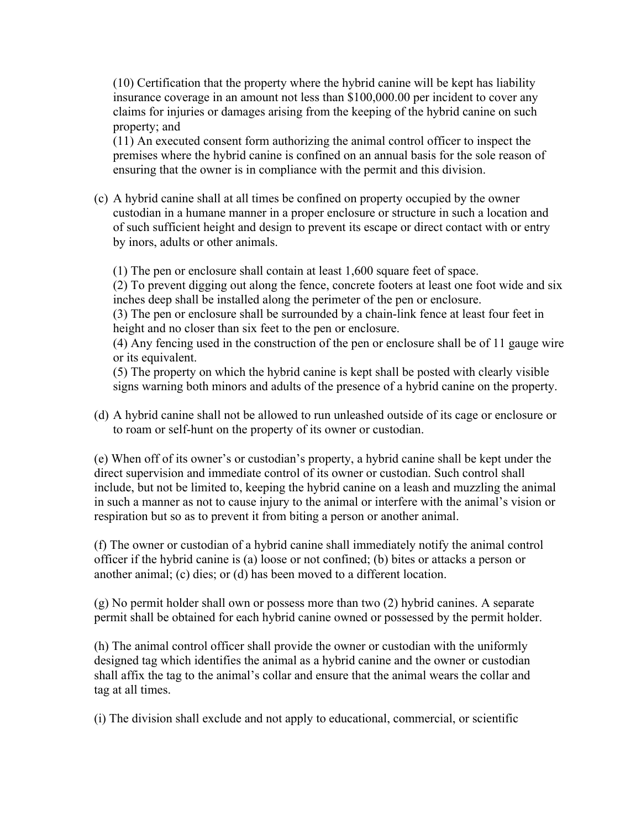(10) Certification that the property where the hybrid canine will be kept has liability insurance coverage in an amount not less than \$100,000.00 per incident to cover any claims for injuries or damages arising from the keeping of the hybrid canine on such property; and

(11) An executed consent form authorizing the animal control officer to inspect the premises where the hybrid canine is confined on an annual basis for the sole reason of ensuring that the owner is in compliance with the permit and this division.

(c) A hybrid canine shall at all times be confined on property occupied by the owner custodian in a humane manner in a proper enclosure or structure in such a location and of such sufficient height and design to prevent its escape or direct contact with or entry by inors, adults or other animals.

(1) The pen or enclosure shall contain at least 1,600 square feet of space.

(2) To prevent digging out along the fence, concrete footers at least one foot wide and six inches deep shall be installed along the perimeter of the pen or enclosure.

(3) The pen or enclosure shall be surrounded by a chain-link fence at least four feet in height and no closer than six feet to the pen or enclosure.

(4) Any fencing used in the construction of the pen or enclosure shall be of 11 gauge wire or its equivalent.

(5) The property on which the hybrid canine is kept shall be posted with clearly visible signs warning both minors and adults of the presence of a hybrid canine on the property.

(d) A hybrid canine shall not be allowed to run unleashed outside of its cage or enclosure or to roam or self-hunt on the property of its owner or custodian.

(e) When off of its owner's or custodian's property, a hybrid canine shall be kept under the direct supervision and immediate control of its owner or custodian. Such control shall include, but not be limited to, keeping the hybrid canine on a leash and muzzling the animal in such a manner as not to cause injury to the animal or interfere with the animal's vision or respiration but so as to prevent it from biting a person or another animal.

(f) The owner or custodian of a hybrid canine shall immediately notify the animal control officer if the hybrid canine is (a) loose or not confined; (b) bites or attacks a person or another animal; (c) dies; or (d) has been moved to a different location.

(g) No permit holder shall own or possess more than two (2) hybrid canines. A separate permit shall be obtained for each hybrid canine owned or possessed by the permit holder.

(h) The animal control officer shall provide the owner or custodian with the uniformly designed tag which identifies the animal as a hybrid canine and the owner or custodian shall affix the tag to the animal's collar and ensure that the animal wears the collar and tag at all times.

(i) The division shall exclude and not apply to educational, commercial, or scientific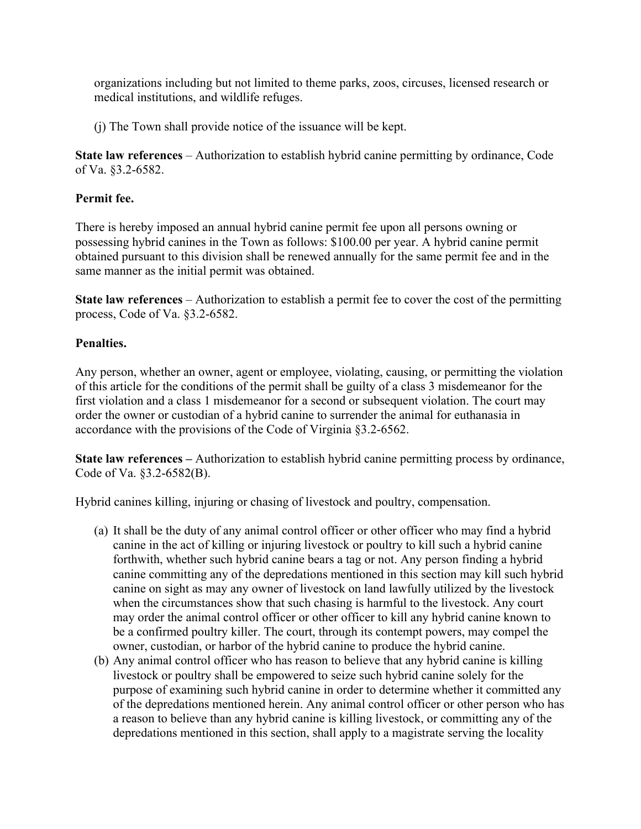organizations including but not limited to theme parks, zoos, circuses, licensed research or medical institutions, and wildlife refuges.

(j) The Town shall provide notice of the issuance will be kept.

**State law references** – Authorization to establish hybrid canine permitting by ordinance, Code of Va. §3.2-6582.

# **Permit fee.**

There is hereby imposed an annual hybrid canine permit fee upon all persons owning or possessing hybrid canines in the Town as follows: \$100.00 per year. A hybrid canine permit obtained pursuant to this division shall be renewed annually for the same permit fee and in the same manner as the initial permit was obtained.

**State law references** – Authorization to establish a permit fee to cover the cost of the permitting process, Code of Va. §3.2-6582.

# **Penalties.**

Any person, whether an owner, agent or employee, violating, causing, or permitting the violation of this article for the conditions of the permit shall be guilty of a class 3 misdemeanor for the first violation and a class 1 misdemeanor for a second or subsequent violation. The court may order the owner or custodian of a hybrid canine to surrender the animal for euthanasia in accordance with the provisions of the Code of Virginia §3.2-6562.

**State law references –** Authorization to establish hybrid canine permitting process by ordinance, Code of Va. §3.2-6582(B).

Hybrid canines killing, injuring or chasing of livestock and poultry, compensation.

- (a) It shall be the duty of any animal control officer or other officer who may find a hybrid canine in the act of killing or injuring livestock or poultry to kill such a hybrid canine forthwith, whether such hybrid canine bears a tag or not. Any person finding a hybrid canine committing any of the depredations mentioned in this section may kill such hybrid canine on sight as may any owner of livestock on land lawfully utilized by the livestock when the circumstances show that such chasing is harmful to the livestock. Any court may order the animal control officer or other officer to kill any hybrid canine known to be a confirmed poultry killer. The court, through its contempt powers, may compel the owner, custodian, or harbor of the hybrid canine to produce the hybrid canine.
- (b) Any animal control officer who has reason to believe that any hybrid canine is killing livestock or poultry shall be empowered to seize such hybrid canine solely for the purpose of examining such hybrid canine in order to determine whether it committed any of the depredations mentioned herein. Any animal control officer or other person who has a reason to believe than any hybrid canine is killing livestock, or committing any of the depredations mentioned in this section, shall apply to a magistrate serving the locality